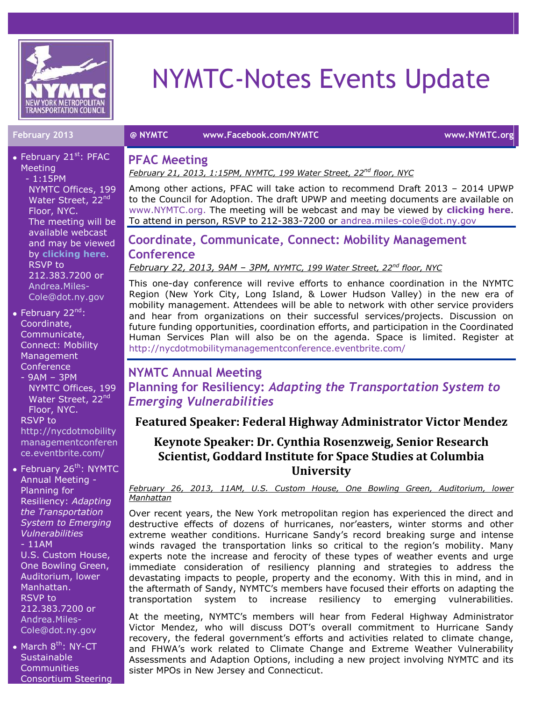

• February 21 $st$ : PFAC

# NYMTC-Notes Events Update

**February 2013 @ NYMTC [www.Facebook.com/NYMTC](http://www.facebook.com/NYMTC) www.NYMTC.org**

#### **PFAC Meeting**

*February 21, 2013, 1:15PM, NYMTC, 199 Water Street, 22nd floor, NYC*

Among other actions, PFAC will take action to recommend Draft 2013 – 2014 UPWP to the Council for Adoption. The draft UPWP and meeting documents are available on [www.NYMTC.org.](http://www.nymtc.org/) The meeting will be webcast and may be viewed by **[clicking here](https://www.dot.ny.gov/portal/page/portal/main/webcast?nd=nysdot)**. To attend in person, RSVP to 212-383-7200 or [andrea.miles-cole@dot.ny.gov](mailto:andrea.miles-cole@dot.ny.gov)

# **Coordinate, Communicate, Connect: Mobility Management Conference**

*February 22, 2013, 9AM – 3PM, NYMTC, 199 Water Street, 22nd floor, NYC*

This one-day conference will revive efforts to enhance coordination in the NYMTC Region (New York City, Long Island, & Lower Hudson Valley) in the new era of mobility management. Attendees will be able to network with other service providers and hear from organizations on their successful services/projects. Discussion on future funding opportunities, coordination efforts, and participation in the Coordinated Human Services Plan will also be on the agenda. Space is limited. Register at <http://nycdotmobilitymanagementconference.eventbrite.com/>

# **NYMTC Annual Meeting Planning for Resiliency:** *Adapting the Transportation System to Emerging Vulnerabilities*

### **Featured Speaker: Federal Highway Administrator Victor Mendez**

## **Keynote Speaker: Dr. Cynthia Rosenzweig, Senior Research Scientist, Goddard Institute for Space Studies at Columbia University**

*February 26, 2013, 11AM, U.S. Custom House, One Bowling Green, Auditorium, lower Manhattan* 

Over recent years, the New York metropolitan region has experienced the direct and destructive effects of dozens of hurricanes, nor'easters, winter storms and other extreme weather conditions. Hurricane Sandy's record breaking surge and intense winds ravaged the transportation links so critical to the region's mobility. Many experts note the increase and ferocity of these types of weather events and urge immediate consideration of resiliency planning and strategies to address the devastating impacts to people, property and the economy. With this in mind, and in the aftermath of Sandy, NYMTC's members have focused their efforts on adapting the transportation system to increase resiliency to emerging vulnerabilities.

At the meeting, NYMTC's members will hear from Federal Highway Administrator Victor Mendez, who will discuss DOT's overall commitment to Hurricane Sandy recovery, the federal government's efforts and activities related to climate change, and FHWA's work related to Climate Change and Extreme Weather Vulnerability Assessments and Adaption Options, including a new project involving NYMTC and its sister MPOs in New Jersey and Connecticut.

Meeting  $-1:15PM$ NYMTC Offices, 199 Water Street, 22<sup>nd</sup> Floor, NYC. The meeting will be available webcast and may be viewed by **[clicking here](https://www.dot.ny.gov/portal/page/portal/main/webcast?nd=nysdot)**. RSVP to 212.383.7200 or [Andrea.Miles-](mailto:Andrea.Miles-Cole@dot.ny.gov)[Cole@dot.ny.gov](mailto:Andrea.Miles-Cole@dot.ny.gov)

• February 22 $^{nd}$ : Coordinate, Communicate, Connect: Mobility Management Conference

- 9AM – 3PM NYMTC Offices, 199 Water Street, 22<sup>nd</sup> Floor, NYC.

RSVP to

[http://nycdotmobility](http://nycdotmobilitymanagementconference.eventbrite.com/) [managementconferen](http://nycdotmobilitymanagementconference.eventbrite.com/) [ce.eventbrite.com/](http://nycdotmobilitymanagementconference.eventbrite.com/)

• February 26<sup>th</sup>: NYMTC Annual Meeting - Planning for Resiliency: *Adapting the Transportation System to Emerging Vulnerabilities*  $-11AM$ U.S. Custom House, One Bowling Green, Auditorium, lower Manhattan. RSVP to 212.383.7200 or [Andrea.Miles-](mailto:Andrea.Miles-Cole@dot.ny.gov)[Cole@dot.ny.gov](mailto:Andrea.Miles-Cole@dot.ny.gov)

 $\bullet$  March  $8^{\text{th}}$ : NY-CT **Sustainable Communities** Consortium Steering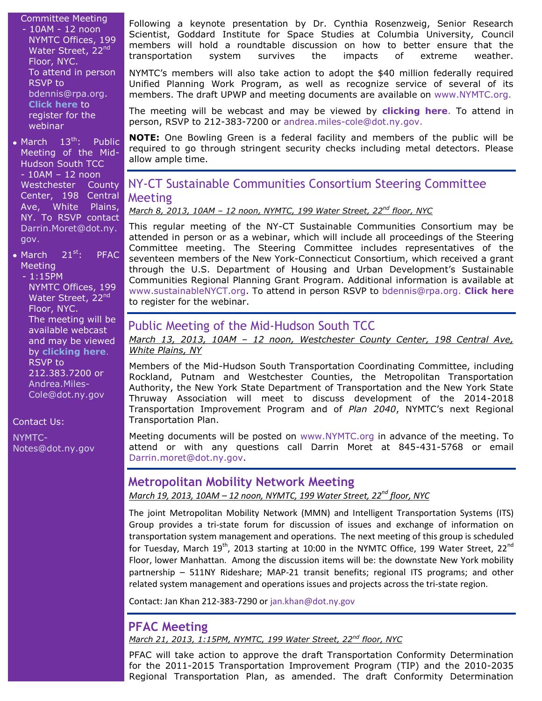Committee Meeting - 10AM - 12 noon NYMTC Offices, 199 Water Street, 22<sup>nd</sup> Floor, NYC. To attend in person RSVP to [bdennis@rpa.org.](mailto:bdennis@rpa.org) **[Click here](https://www4.gotomeeting.com/register/473821407)** to register for the webinar

• March 13<sup>th</sup>: Public Meeting of the Mid-Hudson South TCC - 10AM – 12 noon Westchester County Center, 198 Central Ave, White Plains, NY. To RSVP contact [Darrin.Moret@dot.ny.](mailto:Darrin.Moret@dot.ny.gov) [gov.](mailto:Darrin.Moret@dot.ny.gov)

 $\bullet$  March 21st: PFAC **Meeting** 

- 1:15PM NYMTC Offices, 199 Water Street, 22<sup>nd</sup> Floor, NYC. The meeting will be available webcast and may be viewed by **[clicking here](https://www.dot.ny.gov/portal/page/portal/main/webcast?nd=nysdot)**. RSVP to 212.383.7200 or [Andrea.Miles-](mailto:Andrea.Miles-Cole@dot.ny.gov)[Cole@dot.ny.gov](mailto:Andrea.Miles-Cole@dot.ny.gov)

Contact Us:

[NYMTC-](mailto:NYMTC-Notes@dot.ny.gov)[Notes@dot.ny.gov](mailto:NYMTC-Notes@dot.ny.gov) Following a keynote presentation by Dr. Cynthia Rosenzweig, Senior Research Scientist, Goddard Institute for Space Studies at Columbia University*,* Council members will hold a roundtable discussion on how to better ensure that the transportation system survives the impacts of extreme weather.

NYMTC's members will also take action to adopt the \$40 million federally required Unified Planning Work Program, as well as recognize service of several of its members. The draft UPWP and meeting documents are available on [www.NYMTC.org.](http://www.nymtc.org/)

The meeting will be webcast and may be viewed by **[clicking here](https://www.dot.ny.gov/portal/page/portal/main/webcast?nd=nysdot)**. To attend in person, RSVP to 212-383-7200 or [andrea.miles-cole@dot.ny.gov.](mailto:andrea.miles-cole@dot.ny.gov)

**NOTE:** One Bowling Green is a federal facility and members of the public will be required to go through stringent security checks including metal detectors. Please allow ample time.

# NY-CT Sustainable Communities Consortium Steering Committee Meeting

*March 8, 2013, 10AM – 12 noon, NYMTC, 199 Water Street, 22nd floor, NYC*

This regular meeting of the NY-CT Sustainable Communities Consortium may be attended in person or as a webinar, which will include all proceedings of the Steering Committee meeting. The Steering Committee includes representatives of the seventeen members of the New York-Connecticut Consortium, which received a grant through the U.S. Department of Housing and Urban Development's Sustainable Communities Regional Planning Grant Program. Additional information is available at [www.sustainableNYCT.org.](http://www.sustainablenyct.org/) To attend in person RSVP to [bdennis@rpa.org.](mailto:bdennis@rpa.org) **[Click here](https://www4.gotomeeting.com/register/473821407)** to register for the webinar.

# Public Meeting of the Mid-Hudson South TCC

*March 13, 2013, 10AM – 12 noon, Westchester County Center, 198 Central Ave, White Plains, NY* 

Members of the Mid-Hudson South Transportation Coordinating Committee, including Rockland, Putnam and Westchester Counties, the Metropolitan Transportation Authority, the New York State Department of Transportation and the New York State Thruway Association will meet to discuss development of the 2014-2018 Transportation Improvement Program and of *Plan 2040*, NYMTC's next Regional Transportation Plan.

Meeting documents will be posted on [www.NYMTC.org](http://www.nymtc.org/) in advance of the meeting. To attend or with any questions call Darrin Moret at 845-431-5768 or email [Darrin.moret@dot.ny.gov.](mailto:Darrin.moret@dot.ny.gov)

### **Metropolitan Mobility Network Meeting**

*March 19, 2013, 10AM – 12 noon, NYMTC, 199 Water Street, 22nd floor, NYC*

The joint Metropolitan Mobility Network (MMN) and Intelligent Transportation Systems (ITS) Group provides a tri-state forum for discussion of issues and exchange of information on transportation system management and operations. The next meeting of this group is scheduled for Tuesday, March  $19^{th}$ , 2013 starting at 10:00 in the NYMTC Office, 199 Water Street, 22 $^{nd}$ Floor, lower Manhattan. Among the discussion items will be: the downstate New York mobility partnership – 511NY Rideshare; MAP-21 transit benefits; regional ITS programs; and other related system management and operations issues and projects across the tri-state region.

Contact: Jan Khan 212-383-7290 or [jan.khan@dot.ny.gov](mailto:jan.khan@dot.ny.gov)

# **PFAC Meeting**

*March 21, 2013, 1:15PM, NYMTC, 199 Water Street, 22nd floor, NYC*

PFAC will take action to approve the draft Transportation Conformity Determination for the 2011-2015 Transportation Improvement Program (TIP) and the 2010-2035 Regional Transportation Plan, as amended. The draft Conformity Determination